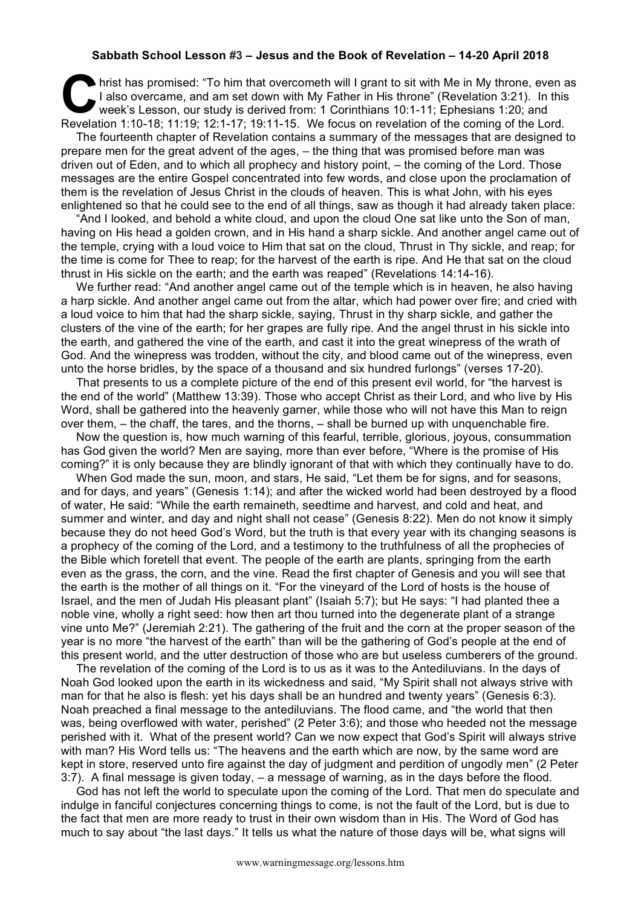## **Sabbath School Lesson #3 – Jesus and the Book of Revelation – 14-20 April 2018**

hrist has promised: "To him that overcometh will I grant to sit with Me in My throne, even as<br>
I also overcame, and am set down with My Father in His throne" (Revelation 3:21). In this<br>
week's Lesson, our study is derived I also overcame, and am set down with My Father in His throne" (Revelation 3:21). In this week's Lesson, our study is derived from: 1 Corinthians 10:1-11; Ephesians 1:20; and Revelation 1:10-18; 11:19; 12:1-17; 19:11-15. We focus on revelation of the coming of the Lord.

The fourteenth chapter of Revelation contains a summary of the messages that are designed to prepare men for the great advent of the ages, – the thing that was promised before man was driven out of Eden, and to which all prophecy and history point, – the coming of the Lord. Those messages are the entire Gospel concentrated into few words, and close upon the proclamation of them is the revelation of Jesus Christ in the clouds of heaven. This is what John, with his eyes enlightened so that he could see to the end of all things, saw as though it had already taken place:

"And I looked, and behold a white cloud, and upon the cloud One sat like unto the Son of man, having on His head a golden crown, and in His hand a sharp sickle. And another angel came out of the temple, crying with a loud voice to Him that sat on the cloud, Thrust in Thy sickle, and reap; for the time is come for Thee to reap; for the harvest of the earth is ripe. And He that sat on the cloud thrust in His sickle on the earth; and the earth was reaped" (Revelations 14:14-16).

We further read: "And another angel came out of the temple which is in heaven, he also having a harp sickle. And another angel came out from the altar, which had power over fire; and cried with a loud voice to him that had the sharp sickle, saying, Thrust in thy sharp sickle, and gather the clusters of the vine of the earth; for her grapes are fully ripe. And the angel thrust in his sickle into the earth, and gathered the vine of the earth, and cast it into the great winepress of the wrath of God. And the winepress was trodden, without the city, and blood came out of the winepress, even unto the horse bridles, by the space of a thousand and six hundred furlongs" (verses 17-20).

That presents to us a complete picture of the end of this present evil world, for "the harvest is the end of the world" (Matthew 13:39). Those who accept Christ as their Lord, and who live by His Word, shall be gathered into the heavenly garner, while those who will not have this Man to reign over them, – the chaff, the tares, and the thorns, – shall be burned up with unquenchable fire.

Now the question is, how much warning of this fearful, terrible, glorious, joyous, consummation has God given the world? Men are saying, more than ever before, "Where is the promise of His coming?" it is only because they are blindly ignorant of that with which they continually have to do.

When God made the sun, moon, and stars, He said, "Let them be for signs, and for seasons, and for days, and years" (Genesis 1:14); and after the wicked world had been destroyed by a flood of water, He said: "While the earth remaineth, seedtime and harvest, and cold and heat, and summer and winter, and day and night shall not cease" (Genesis 8:22). Men do not know it simply because they do not heed God's Word, but the truth is that every year with its changing seasons is a prophecy of the coming of the Lord, and a testimony to the truthfulness of all the prophecies of the Bible which foretell that event. The people of the earth are plants, springing from the earth even as the grass, the corn, and the vine. Read the first chapter of Genesis and you will see that the earth is the mother of all things on it. "For the vineyard of the Lord of hosts is the house of Israel, and the men of Judah His pleasant plant" (Isaiah 5:7); but He says: "I had planted thee a noble vine, wholly a right seed: how then art thou turned into the degenerate plant of a strange vine unto Me?" (Jeremiah 2:21). The gathering of the fruit and the corn at the proper season of the year is no more "the harvest of the earth" than will be the gathering of God's people at the end of this present world, and the utter destruction of those who are but useless cumberers of the ground.

The revelation of the coming of the Lord is to us as it was to the Antediluvians. In the days of Noah God looked upon the earth in its wickedness and said, "My Spirit shall not always strive with man for that he also is flesh: yet his days shall be an hundred and twenty years" (Genesis 6:3). Noah preached a final message to the antediluvians. The flood came, and "the world that then was, being overflowed with water, perished" (2 Peter 3:6); and those who heeded not the message perished with it. What of the present world? Can we now expect that God's Spirit will always strive with man? His Word tells us: "The heavens and the earth which are now, by the same word are kept in store, reserved unto fire against the day of judgment and perdition of ungodly men" (2 Peter 3:7). A final message is given today, – a message of warning, as in the days before the flood.

God has not left the world to speculate upon the coming of the Lord. That men do speculate and indulge in fanciful conjectures concerning things to come, is not the fault of the Lord, but is due to the fact that men are more ready to trust in their own wisdom than in His. The Word of God has much to say about "the last days." It tells us what the nature of those days will be, what signs will